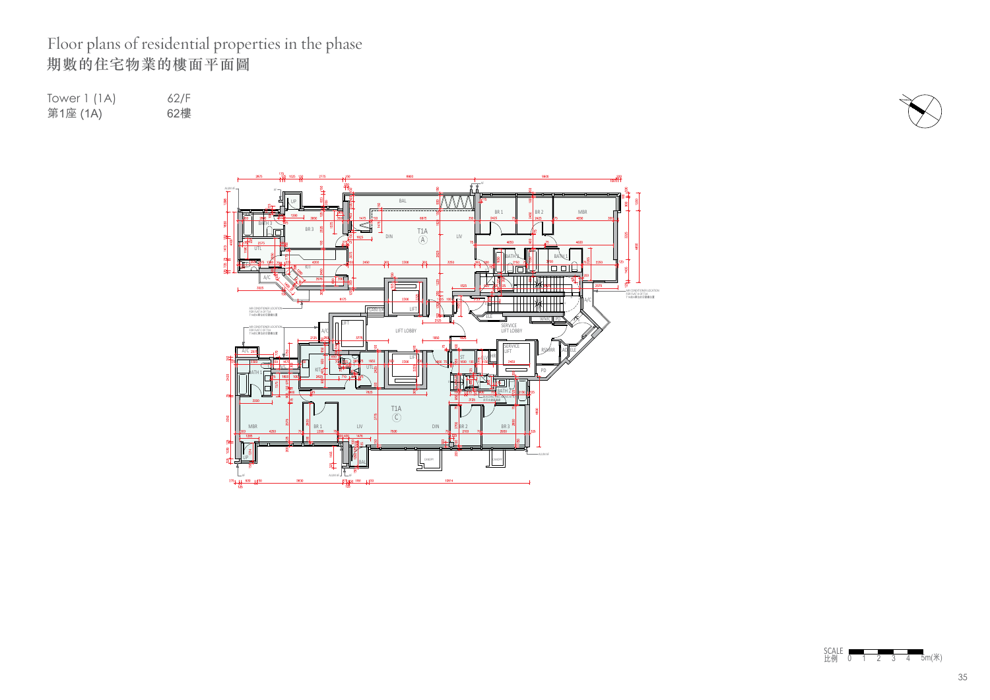## Floor plans of residential properties in the phase 期數的住宅物業的樓面平面圖

Tower 1 (1A) 62/F<br>第1座 (1A) 62樓 第1座 (1A)